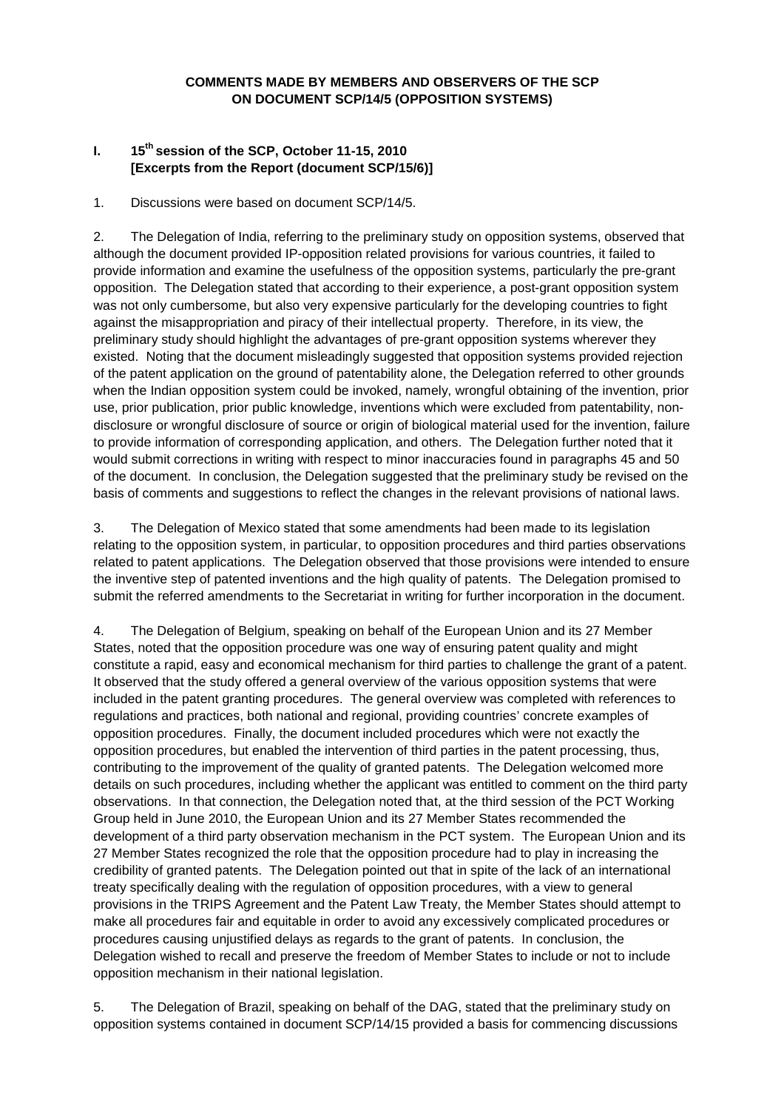## **COMMENTS MADE BY MEMBERS AND OBSERVERS OF THE SCP ON DOCUMENT SCP/14/5 (OPPOSITION SYSTEMS)**

## **I. 15th session of the SCP, October 11-15, 2010 [Excerpts from the Report (document SCP/15/6)]**

1. Discussions were based on document SCP/14/5.

2. The Delegation of India, referring to the preliminary study on opposition systems, observed that although the document provided IP-opposition related provisions for various countries, it failed to provide information and examine the usefulness of the opposition systems, particularly the pre-grant opposition. The Delegation stated that according to their experience, a post-grant opposition system was not only cumbersome, but also very expensive particularly for the developing countries to fight against the misappropriation and piracy of their intellectual property. Therefore, in its view, the preliminary study should highlight the advantages of pre-grant opposition systems wherever they existed. Noting that the document misleadingly suggested that opposition systems provided rejection of the patent application on the ground of patentability alone, the Delegation referred to other grounds when the Indian opposition system could be invoked, namely, wrongful obtaining of the invention, prior use, prior publication, prior public knowledge, inventions which were excluded from patentability, nondisclosure or wrongful disclosure of source or origin of biological material used for the invention, failure to provide information of corresponding application, and others. The Delegation further noted that it would submit corrections in writing with respect to minor inaccuracies found in paragraphs 45 and 50 of the document. In conclusion, the Delegation suggested that the preliminary study be revised on the basis of comments and suggestions to reflect the changes in the relevant provisions of national laws.

3. The Delegation of Mexico stated that some amendments had been made to its legislation relating to the opposition system, in particular, to opposition procedures and third parties observations related to patent applications. The Delegation observed that those provisions were intended to ensure the inventive step of patented inventions and the high quality of patents. The Delegation promised to submit the referred amendments to the Secretariat in writing for further incorporation in the document.

4. The Delegation of Belgium, speaking on behalf of the European Union and its 27 Member States, noted that the opposition procedure was one way of ensuring patent quality and might constitute a rapid, easy and economical mechanism for third parties to challenge the grant of a patent. It observed that the study offered a general overview of the various opposition systems that were included in the patent granting procedures. The general overview was completed with references to regulations and practices, both national and regional, providing countries' concrete examples of opposition procedures. Finally, the document included procedures which were not exactly the opposition procedures, but enabled the intervention of third parties in the patent processing, thus, contributing to the improvement of the quality of granted patents. The Delegation welcomed more details on such procedures, including whether the applicant was entitled to comment on the third party observations. In that connection, the Delegation noted that, at the third session of the PCT Working Group held in June 2010, the European Union and its 27 Member States recommended the development of a third party observation mechanism in the PCT system. The European Union and its 27 Member States recognized the role that the opposition procedure had to play in increasing the credibility of granted patents. The Delegation pointed out that in spite of the lack of an international treaty specifically dealing with the regulation of opposition procedures, with a view to general provisions in the TRIPS Agreement and the Patent Law Treaty, the Member States should attempt to make all procedures fair and equitable in order to avoid any excessively complicated procedures or procedures causing unjustified delays as regards to the grant of patents. In conclusion, the Delegation wished to recall and preserve the freedom of Member States to include or not to include opposition mechanism in their national legislation.

5. The Delegation of Brazil, speaking on behalf of the DAG, stated that the preliminary study on opposition systems contained in document SCP/14/15 provided a basis for commencing discussions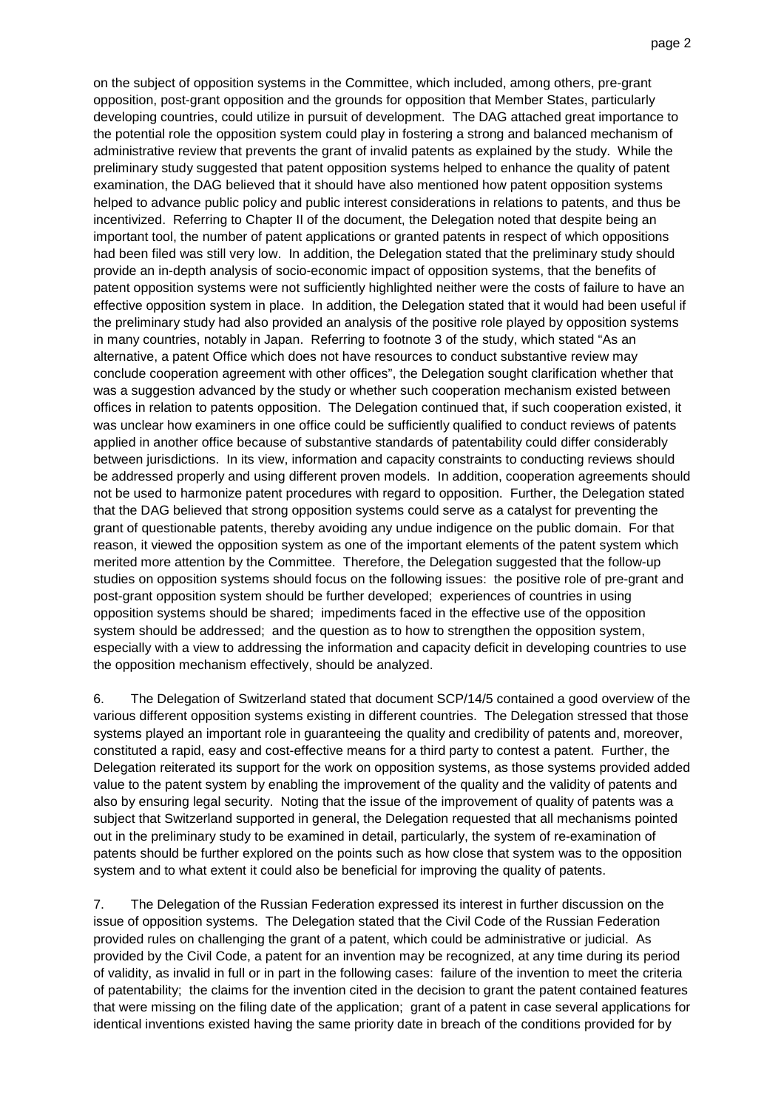on the subject of opposition systems in the Committee, which included, among others, pre-grant opposition, post-grant opposition and the grounds for opposition that Member States, particularly developing countries, could utilize in pursuit of development. The DAG attached great importance to the potential role the opposition system could play in fostering a strong and balanced mechanism of administrative review that prevents the grant of invalid patents as explained by the study. While the preliminary study suggested that patent opposition systems helped to enhance the quality of patent examination, the DAG believed that it should have also mentioned how patent opposition systems helped to advance public policy and public interest considerations in relations to patents, and thus be incentivized. Referring to Chapter II of the document, the Delegation noted that despite being an important tool, the number of patent applications or granted patents in respect of which oppositions had been filed was still very low. In addition, the Delegation stated that the preliminary study should provide an in-depth analysis of socio-economic impact of opposition systems, that the benefits of patent opposition systems were not sufficiently highlighted neither were the costs of failure to have an effective opposition system in place. In addition, the Delegation stated that it would had been useful if the preliminary study had also provided an analysis of the positive role played by opposition systems in many countries, notably in Japan. Referring to footnote 3 of the study, which stated "As an alternative, a patent Office which does not have resources to conduct substantive review may conclude cooperation agreement with other offices", the Delegation sought clarification whether that was a suggestion advanced by the study or whether such cooperation mechanism existed between offices in relation to patents opposition. The Delegation continued that, if such cooperation existed, it was unclear how examiners in one office could be sufficiently qualified to conduct reviews of patents applied in another office because of substantive standards of patentability could differ considerably between jurisdictions. In its view, information and capacity constraints to conducting reviews should be addressed properly and using different proven models. In addition, cooperation agreements should not be used to harmonize patent procedures with regard to opposition. Further, the Delegation stated that the DAG believed that strong opposition systems could serve as a catalyst for preventing the grant of questionable patents, thereby avoiding any undue indigence on the public domain. For that reason, it viewed the opposition system as one of the important elements of the patent system which merited more attention by the Committee. Therefore, the Delegation suggested that the follow-up studies on opposition systems should focus on the following issues: the positive role of pre-grant and post-grant opposition system should be further developed; experiences of countries in using opposition systems should be shared; impediments faced in the effective use of the opposition system should be addressed; and the question as to how to strengthen the opposition system, especially with a view to addressing the information and capacity deficit in developing countries to use the opposition mechanism effectively, should be analyzed.

6. The Delegation of Switzerland stated that document SCP/14/5 contained a good overview of the various different opposition systems existing in different countries. The Delegation stressed that those systems played an important role in guaranteeing the quality and credibility of patents and, moreover, constituted a rapid, easy and cost-effective means for a third party to contest a patent. Further, the Delegation reiterated its support for the work on opposition systems, as those systems provided added value to the patent system by enabling the improvement of the quality and the validity of patents and also by ensuring legal security. Noting that the issue of the improvement of quality of patents was a subject that Switzerland supported in general, the Delegation requested that all mechanisms pointed out in the preliminary study to be examined in detail, particularly, the system of re-examination of patents should be further explored on the points such as how close that system was to the opposition system and to what extent it could also be beneficial for improving the quality of patents.

7. The Delegation of the Russian Federation expressed its interest in further discussion on the issue of opposition systems. The Delegation stated that the Civil Code of the Russian Federation provided rules on challenging the grant of a patent, which could be administrative or judicial. As provided by the Civil Code, a patent for an invention may be recognized, at any time during its period of validity, as invalid in full or in part in the following cases: failure of the invention to meet the criteria of patentability; the claims for the invention cited in the decision to grant the patent contained features that were missing on the filing date of the application; grant of a patent in case several applications for identical inventions existed having the same priority date in breach of the conditions provided for by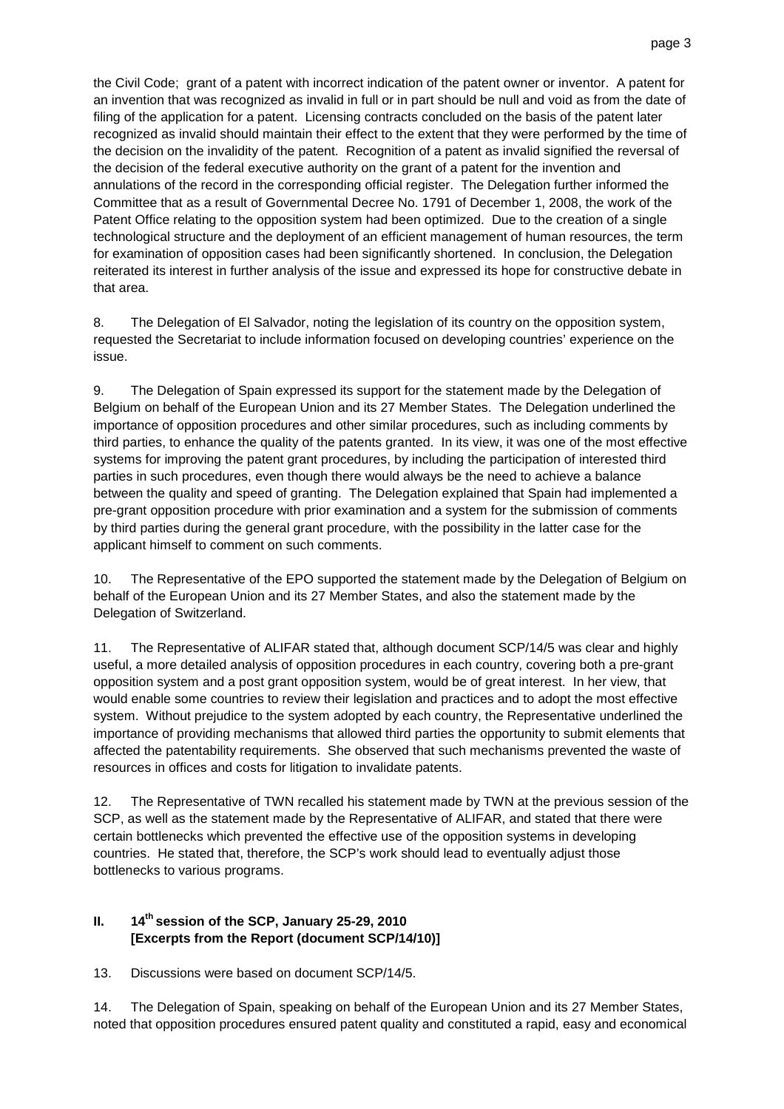the Civil Code; grant of a patent with incorrect indication of the patent owner or inventor. A patent for an invention that was recognized as invalid in full or in part should be null and void as from the date of filing of the application for a patent. Licensing contracts concluded on the basis of the patent later recognized as invalid should maintain their effect to the extent that they were performed by the time of the decision on the invalidity of the patent. Recognition of a patent as invalid signified the reversal of the decision of the federal executive authority on the grant of a patent for the invention and annulations of the record in the corresponding official register. The Delegation further informed the Committee that as a result of Governmental Decree No. 1791 of December 1, 2008, the work of the Patent Office relating to the opposition system had been optimized. Due to the creation of a single technological structure and the deployment of an efficient management of human resources, the term for examination of opposition cases had been significantly shortened. In conclusion, the Delegation reiterated its interest in further analysis of the issue and expressed its hope for constructive debate in that area.

8. The Delegation of El Salvador, noting the legislation of its country on the opposition system, requested the Secretariat to include information focused on developing countries' experience on the issue.

9. The Delegation of Spain expressed its support for the statement made by the Delegation of Belgium on behalf of the European Union and its 27 Member States. The Delegation underlined the importance of opposition procedures and other similar procedures, such as including comments by third parties, to enhance the quality of the patents granted. In its view, it was one of the most effective systems for improving the patent grant procedures, by including the participation of interested third parties in such procedures, even though there would always be the need to achieve a balance between the quality and speed of granting. The Delegation explained that Spain had implemented a pre-grant opposition procedure with prior examination and a system for the submission of comments by third parties during the general grant procedure, with the possibility in the latter case for the applicant himself to comment on such comments.

10. The Representative of the EPO supported the statement made by the Delegation of Belgium on behalf of the European Union and its 27 Member States, and also the statement made by the Delegation of Switzerland.

11. The Representative of ALIFAR stated that, although document SCP/14/5 was clear and highly useful, a more detailed analysis of opposition procedures in each country, covering both a pre-grant opposition system and a post grant opposition system, would be of great interest. In her view, that would enable some countries to review their legislation and practices and to adopt the most effective system. Without prejudice to the system adopted by each country, the Representative underlined the importance of providing mechanisms that allowed third parties the opportunity to submit elements that affected the patentability requirements. She observed that such mechanisms prevented the waste of resources in offices and costs for litigation to invalidate patents.

12. The Representative of TWN recalled his statement made by TWN at the previous session of the SCP, as well as the statement made by the Representative of ALIFAR, and stated that there were certain bottlenecks which prevented the effective use of the opposition systems in developing countries. He stated that, therefore, the SCP's work should lead to eventually adjust those bottlenecks to various programs.

## **II. 14th session of the SCP, January 25-29, 2010 [Excerpts from the Report (document SCP/14/10)]**

13. Discussions were based on document SCP/14/5.

14. The Delegation of Spain, speaking on behalf of the European Union and its 27 Member States, noted that opposition procedures ensured patent quality and constituted a rapid, easy and economical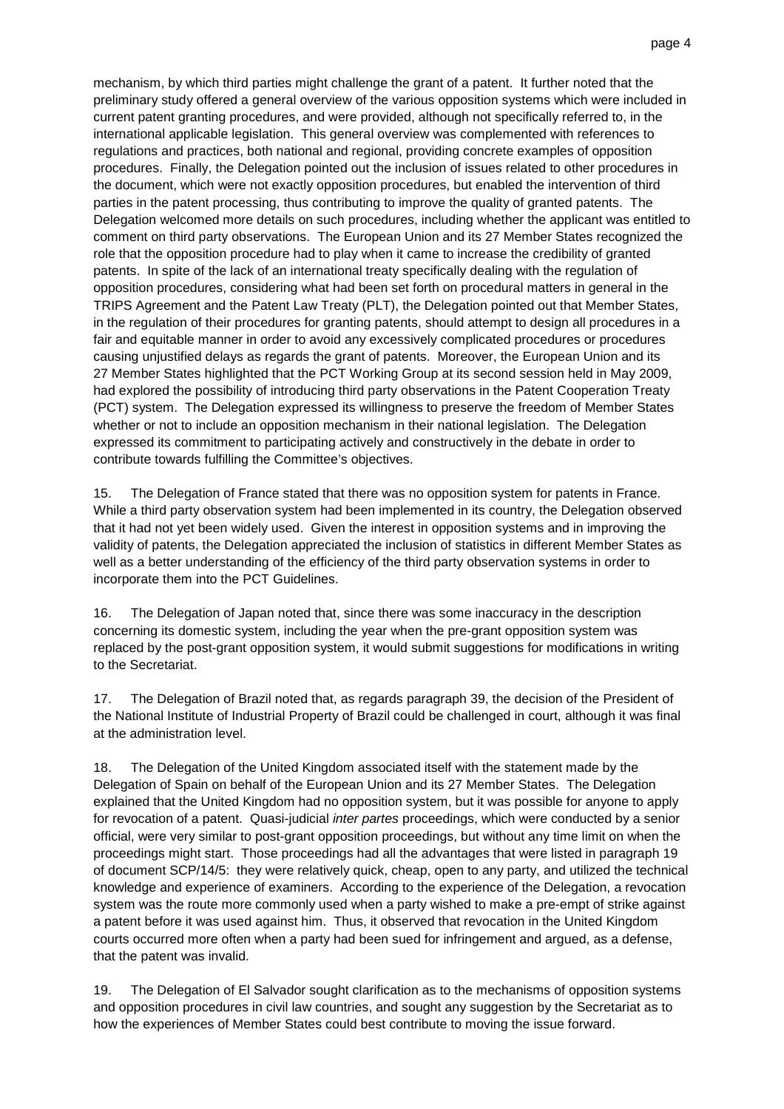mechanism, by which third parties might challenge the grant of a patent. It further noted that the preliminary study offered a general overview of the various opposition systems which were included in current patent granting procedures, and were provided, although not specifically referred to, in the international applicable legislation. This general overview was complemented with references to regulations and practices, both national and regional, providing concrete examples of opposition procedures. Finally, the Delegation pointed out the inclusion of issues related to other procedures in the document, which were not exactly opposition procedures, but enabled the intervention of third parties in the patent processing, thus contributing to improve the quality of granted patents. The Delegation welcomed more details on such procedures, including whether the applicant was entitled to comment on third party observations. The European Union and its 27 Member States recognized the role that the opposition procedure had to play when it came to increase the credibility of granted patents. In spite of the lack of an international treaty specifically dealing with the regulation of opposition procedures, considering what had been set forth on procedural matters in general in the TRIPS Agreement and the Patent Law Treaty (PLT), the Delegation pointed out that Member States, in the regulation of their procedures for granting patents, should attempt to design all procedures in a fair and equitable manner in order to avoid any excessively complicated procedures or procedures causing unjustified delays as regards the grant of patents. Moreover, the European Union and its 27 Member States highlighted that the PCT Working Group at its second session held in May 2009, had explored the possibility of introducing third party observations in the Patent Cooperation Treaty (PCT) system. The Delegation expressed its willingness to preserve the freedom of Member States whether or not to include an opposition mechanism in their national legislation. The Delegation expressed its commitment to participating actively and constructively in the debate in order to contribute towards fulfilling the Committee's objectives.

15. The Delegation of France stated that there was no opposition system for patents in France. While a third party observation system had been implemented in its country, the Delegation observed that it had not yet been widely used. Given the interest in opposition systems and in improving the validity of patents, the Delegation appreciated the inclusion of statistics in different Member States as well as a better understanding of the efficiency of the third party observation systems in order to incorporate them into the PCT Guidelines.

16. The Delegation of Japan noted that, since there was some inaccuracy in the description concerning its domestic system, including the year when the pre-grant opposition system was replaced by the post-grant opposition system, it would submit suggestions for modifications in writing to the Secretariat.

17. The Delegation of Brazil noted that, as regards paragraph 39, the decision of the President of the National Institute of Industrial Property of Brazil could be challenged in court, although it was final at the administration level.

18. The Delegation of the United Kingdom associated itself with the statement made by the Delegation of Spain on behalf of the European Union and its 27 Member States. The Delegation explained that the United Kingdom had no opposition system, but it was possible for anyone to apply for revocation of a patent. Quasi-judicial inter partes proceedings, which were conducted by a senior official, were very similar to post-grant opposition proceedings, but without any time limit on when the proceedings might start. Those proceedings had all the advantages that were listed in paragraph 19 of document SCP/14/5: they were relatively quick, cheap, open to any party, and utilized the technical knowledge and experience of examiners. According to the experience of the Delegation, a revocation system was the route more commonly used when a party wished to make a pre-empt of strike against a patent before it was used against him. Thus, it observed that revocation in the United Kingdom courts occurred more often when a party had been sued for infringement and argued, as a defense, that the patent was invalid.

19. The Delegation of El Salvador sought clarification as to the mechanisms of opposition systems and opposition procedures in civil law countries, and sought any suggestion by the Secretariat as to how the experiences of Member States could best contribute to moving the issue forward.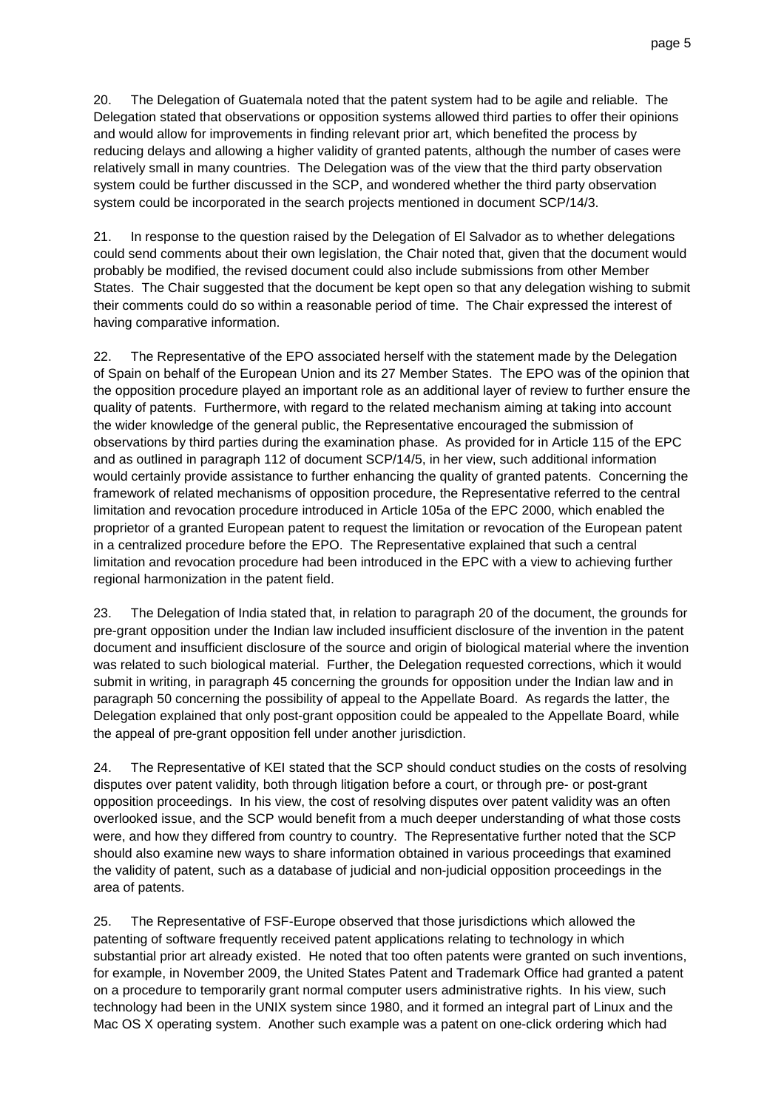20. The Delegation of Guatemala noted that the patent system had to be agile and reliable. The Delegation stated that observations or opposition systems allowed third parties to offer their opinions and would allow for improvements in finding relevant prior art, which benefited the process by reducing delays and allowing a higher validity of granted patents, although the number of cases were relatively small in many countries. The Delegation was of the view that the third party observation system could be further discussed in the SCP, and wondered whether the third party observation system could be incorporated in the search projects mentioned in document SCP/14/3.

21. In response to the question raised by the Delegation of El Salvador as to whether delegations could send comments about their own legislation, the Chair noted that, given that the document would probably be modified, the revised document could also include submissions from other Member States. The Chair suggested that the document be kept open so that any delegation wishing to submit their comments could do so within a reasonable period of time. The Chair expressed the interest of having comparative information.

22. The Representative of the EPO associated herself with the statement made by the Delegation of Spain on behalf of the European Union and its 27 Member States. The EPO was of the opinion that the opposition procedure played an important role as an additional layer of review to further ensure the quality of patents. Furthermore, with regard to the related mechanism aiming at taking into account the wider knowledge of the general public, the Representative encouraged the submission of observations by third parties during the examination phase. As provided for in Article 115 of the EPC and as outlined in paragraph 112 of document SCP/14/5, in her view, such additional information would certainly provide assistance to further enhancing the quality of granted patents. Concerning the framework of related mechanisms of opposition procedure, the Representative referred to the central limitation and revocation procedure introduced in Article 105a of the EPC 2000, which enabled the proprietor of a granted European patent to request the limitation or revocation of the European patent in a centralized procedure before the EPO. The Representative explained that such a central limitation and revocation procedure had been introduced in the EPC with a view to achieving further regional harmonization in the patent field.

23. The Delegation of India stated that, in relation to paragraph 20 of the document, the grounds for pre-grant opposition under the Indian law included insufficient disclosure of the invention in the patent document and insufficient disclosure of the source and origin of biological material where the invention was related to such biological material. Further, the Delegation requested corrections, which it would submit in writing, in paragraph 45 concerning the grounds for opposition under the Indian law and in paragraph 50 concerning the possibility of appeal to the Appellate Board. As regards the latter, the Delegation explained that only post-grant opposition could be appealed to the Appellate Board, while the appeal of pre-grant opposition fell under another jurisdiction.

24. The Representative of KEI stated that the SCP should conduct studies on the costs of resolving disputes over patent validity, both through litigation before a court, or through pre- or post-grant opposition proceedings. In his view, the cost of resolving disputes over patent validity was an often overlooked issue, and the SCP would benefit from a much deeper understanding of what those costs were, and how they differed from country to country. The Representative further noted that the SCP should also examine new ways to share information obtained in various proceedings that examined the validity of patent, such as a database of judicial and non-judicial opposition proceedings in the area of patents.

25. The Representative of FSF-Europe observed that those jurisdictions which allowed the patenting of software frequently received patent applications relating to technology in which substantial prior art already existed. He noted that too often patents were granted on such inventions, for example, in November 2009, the United States Patent and Trademark Office had granted a patent on a procedure to temporarily grant normal computer users administrative rights. In his view, such technology had been in the UNIX system since 1980, and it formed an integral part of Linux and the Mac OS X operating system. Another such example was a patent on one-click ordering which had